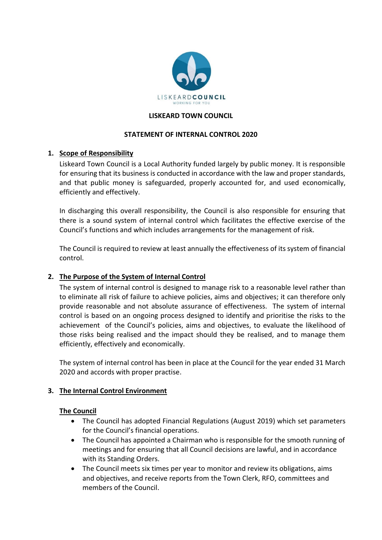

### **LISKEARD TOWN COUNCIL**

### **STATEMENT OF INTERNAL CONTROL 2020**

# **1. Scope of Responsibility**

Liskeard Town Council is a Local Authority funded largely by public money. It is responsible for ensuring that its business is conducted in accordance with the law and proper standards, and that public money is safeguarded, properly accounted for, and used economically, efficiently and effectively.

In discharging this overall responsibility, the Council is also responsible for ensuring that there is a sound system of internal control which facilitates the effective exercise of the Council's functions and which includes arrangements for the management of risk.

The Council is required to review at least annually the effectiveness of its system of financial control.

# **2. The Purpose of the System of Internal Control**

The system of internal control is designed to manage risk to a reasonable level rather than to eliminate all risk of failure to achieve policies, aims and objectives; it can therefore only provide reasonable and not absolute assurance of effectiveness. The system of internal control is based on an ongoing process designed to identify and prioritise the risks to the achievement of the Council's policies, aims and objectives, to evaluate the likelihood of those risks being realised and the impact should they be realised, and to manage them efficiently, effectively and economically.

The system of internal control has been in place at the Council for the year ended 31 March 2020 and accords with proper practise.

#### **3. The Internal Control Environment**

#### **The Council**

- The Council has adopted Financial Regulations (August 2019) which set parameters for the Council's financial operations.
- The Council has appointed a Chairman who is responsible for the smooth running of meetings and for ensuring that all Council decisions are lawful, and in accordance with its Standing Orders.
- The Council meets six times per year to monitor and review its obligations, aims and objectives, and receive reports from the Town Clerk, RFO, committees and members of the Council.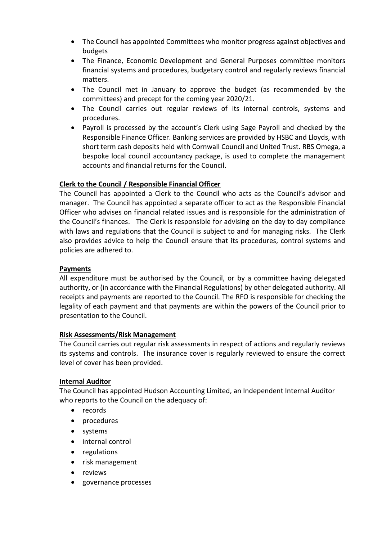- The Council has appointed Committees who monitor progress against objectives and budgets
- The Finance, Economic Development and General Purposes committee monitors financial systems and procedures, budgetary control and regularly reviews financial matters.
- The Council met in January to approve the budget (as recommended by the committees) and precept for the coming year 2020/21.
- The Council carries out regular reviews of its internal controls, systems and procedures.
- Payroll is processed by the account's Clerk using Sage Payroll and checked by the Responsible Finance Officer. Banking services are provided by HSBC and Lloyds, with short term cash deposits held with Cornwall Council and United Trust. RBS Omega, a bespoke local council accountancy package, is used to complete the management accounts and financial returns for the Council.

# **Clerk to the Council / Responsible Financial Officer**

The Council has appointed a Clerk to the Council who acts as the Council's advisor and manager. The Council has appointed a separate officer to act as the Responsible Financial Officer who advises on financial related issues and is responsible for the administration of the Council's finances. The Clerk is responsible for advising on the day to day compliance with laws and regulations that the Council is subject to and for managing risks. The Clerk also provides advice to help the Council ensure that its procedures, control systems and policies are adhered to.

# **Payments**

All expenditure must be authorised by the Council, or by a committee having delegated authority, or (in accordance with the Financial Regulations) by other delegated authority. All receipts and payments are reported to the Council. The RFO is responsible for checking the legality of each payment and that payments are within the powers of the Council prior to presentation to the Council.

# **Risk Assessments/Risk Management**

The Council carries out regular risk assessments in respect of actions and regularly reviews its systems and controls. The insurance cover is regularly reviewed to ensure the correct level of cover has been provided.

# **Internal Auditor**

The Council has appointed Hudson Accounting Limited, an Independent Internal Auditor who reports to the Council on the adequacy of:

- records
- procedures
- systems
- internal control
- regulations
- risk management
- reviews
- governance processes